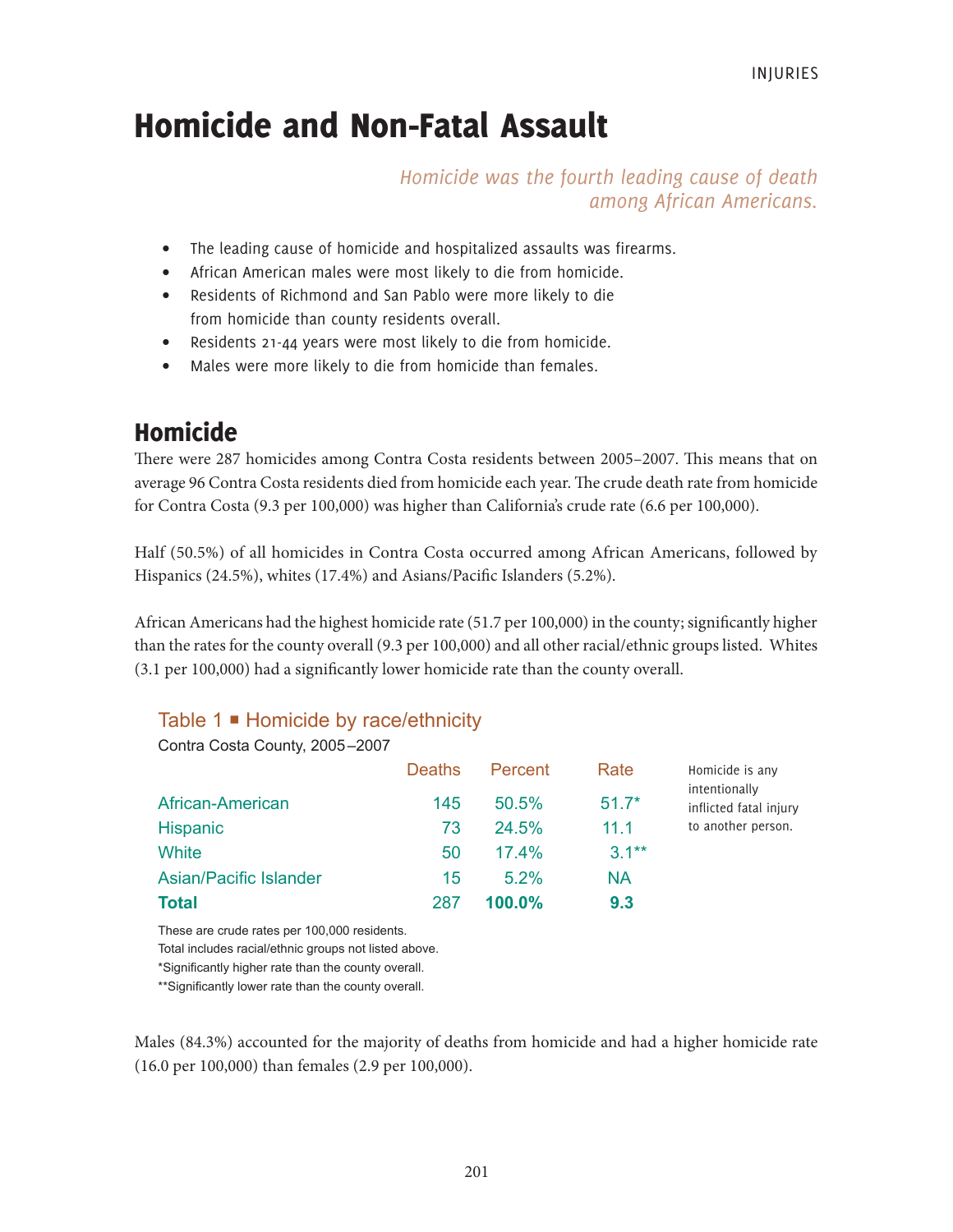# Homicide and Non-Fatal Assault

*Homicide was the fourth leading cause of death among African Americans.*

- The leading cause of homicide and hospitalized assaults was firearms.
- African American males were most likely to die from homicide.
- Residents of Richmond and San Pablo were more likely to die from homicide than county residents overall.
- Residents 21-44 years were most likely to die from homicide.
- Males were more likely to die from homicide than females.

# Homicide

There were 287 homicides among Contra Costa residents between 2005–2007. This means that on average 96 Contra Costa residents died from homicide each year. The crude death rate from homicide for Contra Costa (9.3 per 100,000) was higher than California's crude rate (6.6 per 100,000).

Half (50.5%) of all homicides in Contra Costa occurred among African Americans, followed by Hispanics (24.5%), whites (17.4%) and Asians/Pacific Islanders (5.2%).

African Americans had the highest homicide rate (51.7 per 100,000) in the county; significantly higher than the rates for the county overall (9.3 per 100,000) and all other racial/ethnic groups listed. Whites (3.1 per 100,000) had a significantly lower homicide rate than the county overall.

# Table 1 **■** Homicide by race/ethnicity

|                        | <b>Deaths</b> | Percent   | Rate     | Homicide is any                         |
|------------------------|---------------|-----------|----------|-----------------------------------------|
| African-American       | 145           | 50.5%     | $51.7*$  | intentionally<br>inflicted fatal injury |
| <b>Hispanic</b>        | 73            | 24.5%     | 11.1     | to another person.                      |
| White                  | 50            | 17.4%     | $3.1***$ |                                         |
| Asian/Pacific Islander | 15            | $5.2\%$   | NA       |                                         |
| <b>Total</b>           | 287           | $100.0\%$ | 9.3      |                                         |

These are crude rates per 100,000 residents.

Total includes racial/ethnic groups not listed above.

\*Significantly higher rate than the county overall.

\*\*Significantly lower rate than the county overall.

Males (84.3%) accounted for the majority of deaths from homicide and had a higher homicide rate (16.0 per 100,000) than females (2.9 per 100,000).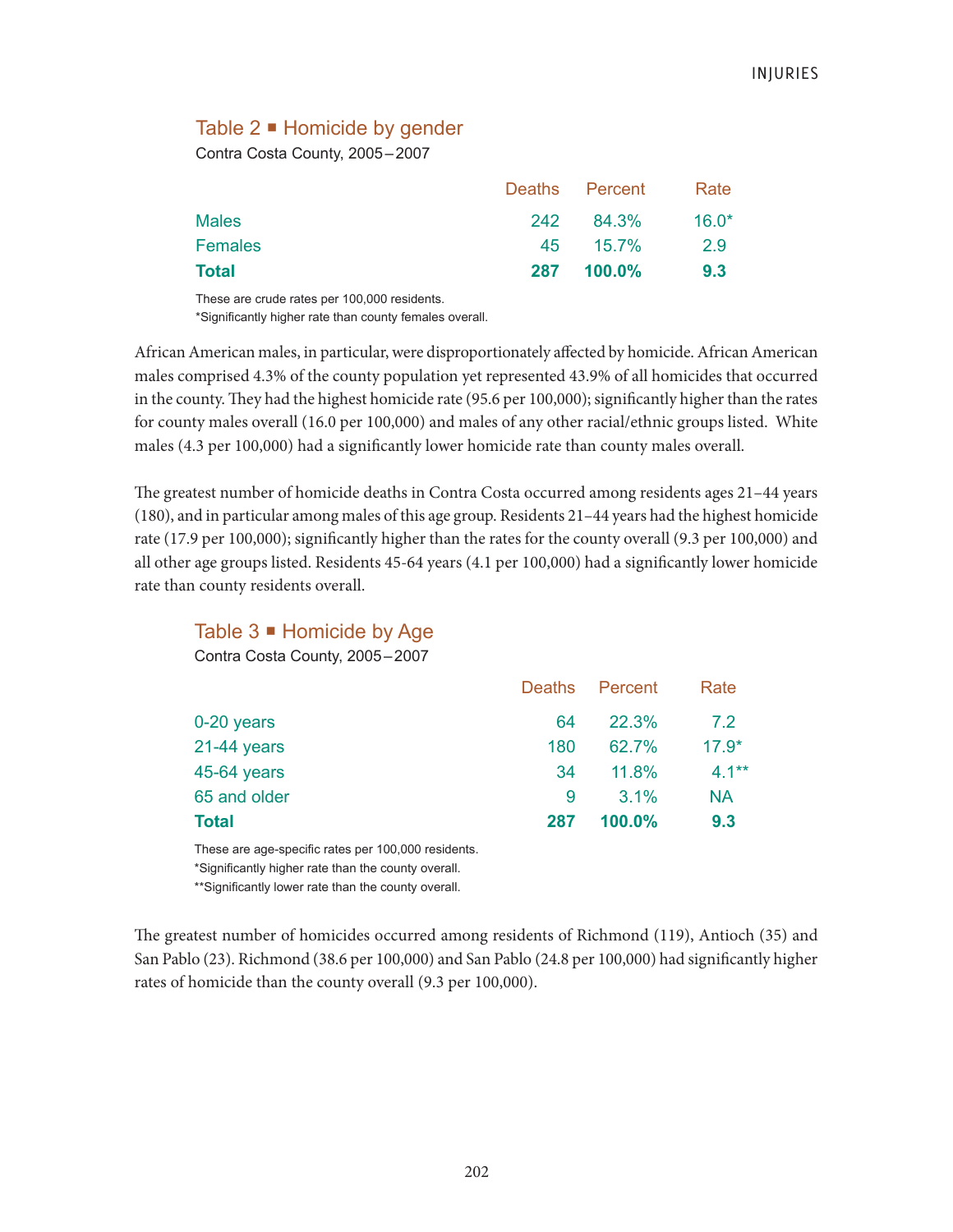# Table 2 ■ Homicide by gender

Contra Costa County, 2005–2007

| Total        |     | 287 100.0%     | 9.3     |
|--------------|-----|----------------|---------|
| Females      |     | 45 15.7%       | 2.9     |
| <b>Males</b> | 242 | 84.3%          | $16.0*$ |
|              |     | Deaths Percent | Rate    |

These are crude rates per 100,000 residents. \*Significantly higher rate than county females overall.

African American males, in particular, were disproportionately affected by homicide. African American males comprised 4.3% of the county population yet represented 43.9% of all homicides that occurred in the county. They had the highest homicide rate (95.6 per 100,000); significantly higher than the rates for county males overall (16.0 per 100,000) and males of any other racial/ethnic groups listed. White males (4.3 per 100,000) had a significantly lower homicide rate than county males overall.

The greatest number of homicide deaths in Contra Costa occurred among residents ages 21–44 years (180), and in particular among males of this age group. Residents 21–44 years had the highest homicide rate (17.9 per 100,000); significantly higher than the rates for the county overall (9.3 per 100,000) and all other age groups listed. Residents 45-64 years (4.1 per 100,000) had a significantly lower homicide rate than county residents overall.

| Table $3$ $\blacksquare$ Homicide by Age |               |         |           |
|------------------------------------------|---------------|---------|-----------|
| Contra Costa County, 2005-2007           |               |         |           |
|                                          | <b>Deaths</b> | Percent | Rate      |
| 0-20 years                               | 64            | 22.3%   | 7.2       |
| $21-44$ years                            | 180           | 62.7%   | $17.9*$   |
| 45-64 years                              | 34            | 11.8%   | $4.1***$  |
| 65 and older                             | 9             | 3.1%    | <b>NA</b> |
| <b>Total</b>                             | 287           | 100.0%  | 9.3       |

These are age-specific rates per 100,000 residents.

\*Significantly higher rate than the county overall.

\*\*Significantly lower rate than the county overall.

The greatest number of homicides occurred among residents of Richmond (119), Antioch (35) and San Pablo (23). Richmond (38.6 per 100,000) and San Pablo (24.8 per 100,000) had significantly higher rates of homicide than the county overall (9.3 per 100,000).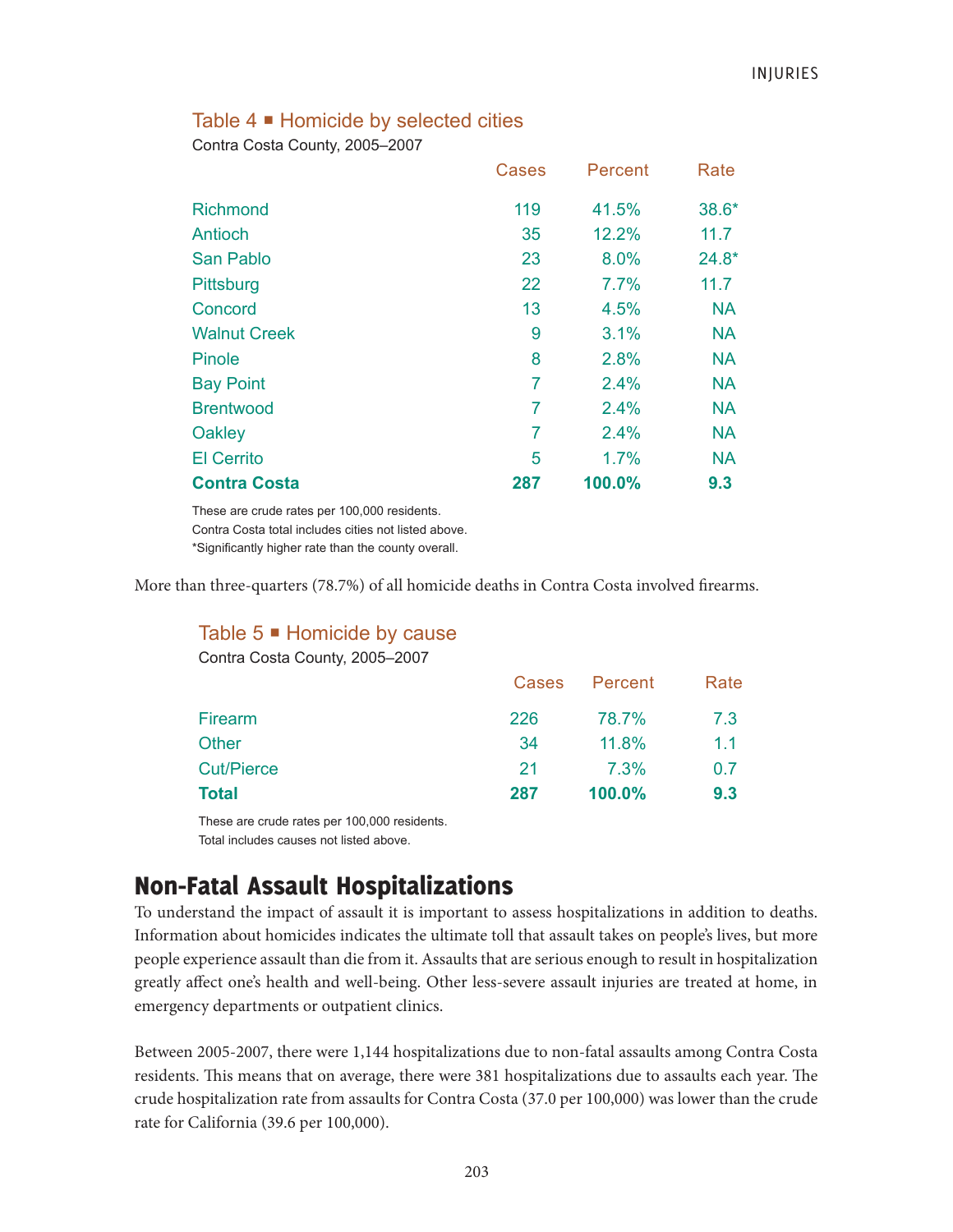### Table 4 **■** Homicide by selected cities

Contra Costa County, 2005–2007

|                     | Cases          | Percent | Rate      |
|---------------------|----------------|---------|-----------|
| <b>Richmond</b>     | 119            | 41.5%   | 38.6*     |
| Antioch             | 35             | 12.2%   | 11.7      |
| <b>San Pablo</b>    | 23             | 8.0%    | $24.8*$   |
| Pittsburg           | 22             | 7.7%    | 11.7      |
| Concord             | 13             | 4.5%    | <b>NA</b> |
| <b>Walnut Creek</b> | 9              | 3.1%    | <b>NA</b> |
| Pinole              | 8              | 2.8%    | <b>NA</b> |
| <b>Bay Point</b>    | 7              | 2.4%    | <b>NA</b> |
| <b>Brentwood</b>    | 7              | 2.4%    | <b>NA</b> |
| Oakley              | $\overline{7}$ | 2.4%    | <b>NA</b> |
| <b>El Cerrito</b>   | 5              | 1.7%    | <b>NA</b> |
| <b>Contra Costa</b> | 287            | 100.0%  | 9.3       |

These are crude rates per 100,000 residents. Contra Costa total includes cities not listed above. \*Significantly higher rate than the county overall.

More than three-quarters (78.7%) of all homicide deaths in Contra Costa involved firearms.

| Cases | Percent   | Rate |
|-------|-----------|------|
| 226   | 78.7%     | 7.3  |
| 34    | 11.8%     | 1.1  |
| 21    | 7.3%      | 0.7  |
| 287   | $100.0\%$ | 9.3  |
|       |           |      |

These are crude rates per 100,000 residents. Total includes causes not listed above.

# Non-Fatal Assault Hospitalizations

To understand the impact of assault it is important to assess hospitalizations in addition to deaths. Information about homicides indicates the ultimate toll that assault takes on people's lives, but more people experience assault than die from it. Assaults that are serious enough to result in hospitalization greatly affect one's health and well-being. Other less-severe assault injuries are treated at home, in emergency departments or outpatient clinics.

Between 2005-2007, there were 1,144 hospitalizations due to non-fatal assaults among Contra Costa residents. This means that on average, there were 381 hospitalizations due to assaults each year. The crude hospitalization rate from assaults for Contra Costa (37.0 per 100,000) was lower than the crude rate for California (39.6 per 100,000).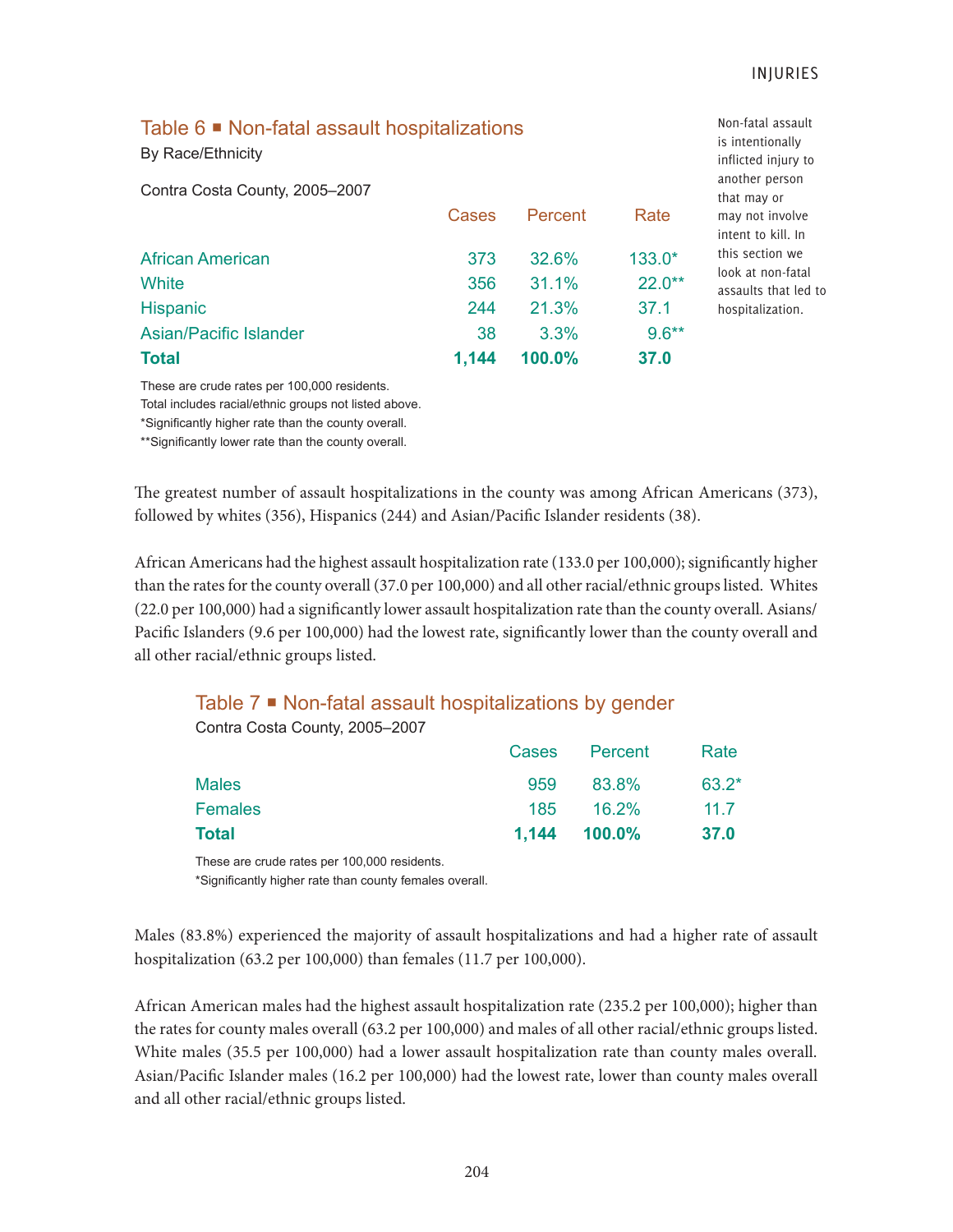Non-fatal assault

# Table 6 **■** Non-fatal assault hospitalizations

By Race/Ethnicity

Contra Costa County, 2005–2007

|                         | <b>Cases</b> | Percent  | Rate     |
|-------------------------|--------------|----------|----------|
| <b>African American</b> | 373          | 32.6%    | $133.0*$ |
| White                   | 356          | $31.1\%$ | $22.0**$ |
| Hispanic                | 244          | 21.3%    | 37.1     |
| Asian/Pacific Islander  | 38           | $3.3\%$  | $9.6***$ |
| <b>Total</b>            | 1.144        | 100.0%   | 37.0     |

is intentionally inflicted injury to another person that may or may not involve intent to kill. In this section we look at non-fatal assaults that led to hospitalization.

These are crude rates per 100,000 residents.

Total includes racial/ethnic groups not listed above.

\*Significantly higher rate than the county overall.

\*\*Significantly lower rate than the county overall.

The greatest number of assault hospitalizations in the county was among African Americans (373), followed by whites (356), Hispanics (244) and Asian/Pacific Islander residents (38).

African Americans had the highest assault hospitalization rate (133.0 per 100,000); significantly higher than the rates for the county overall (37.0 per 100,000) and all other racial/ethnic groups listed. Whites (22.0 per 100,000) had a significantly lower assault hospitalization rate than the county overall. Asians/ Pacific Islanders (9.6 per 100,000) had the lowest rate, significantly lower than the county overall and all other racial/ethnic groups listed.

# Table 7 <sup>■</sup> Non-fatal assault hospitalizations by gender

Contra Costa County, 2005–2007

| Total          | $1,144$ $100.0\%$ | -37.0   |
|----------------|-------------------|---------|
| <b>Females</b> | 185 16.2%         | 11.7    |
| <b>Males</b>   | 959 83.8%         | $63.2*$ |
|                | Cases Percent     | Rate    |

These are crude rates per 100,000 residents.

\*Significantly higher rate than county females overall.

Males (83.8%) experienced the majority of assault hospitalizations and had a higher rate of assault hospitalization (63.2 per 100,000) than females (11.7 per 100,000).

African American males had the highest assault hospitalization rate (235.2 per 100,000); higher than the rates for county males overall (63.2 per 100,000) and males of all other racial/ethnic groups listed. White males (35.5 per 100,000) had a lower assault hospitalization rate than county males overall. Asian/Pacific Islander males (16.2 per 100,000) had the lowest rate, lower than county males overall and all other racial/ethnic groups listed.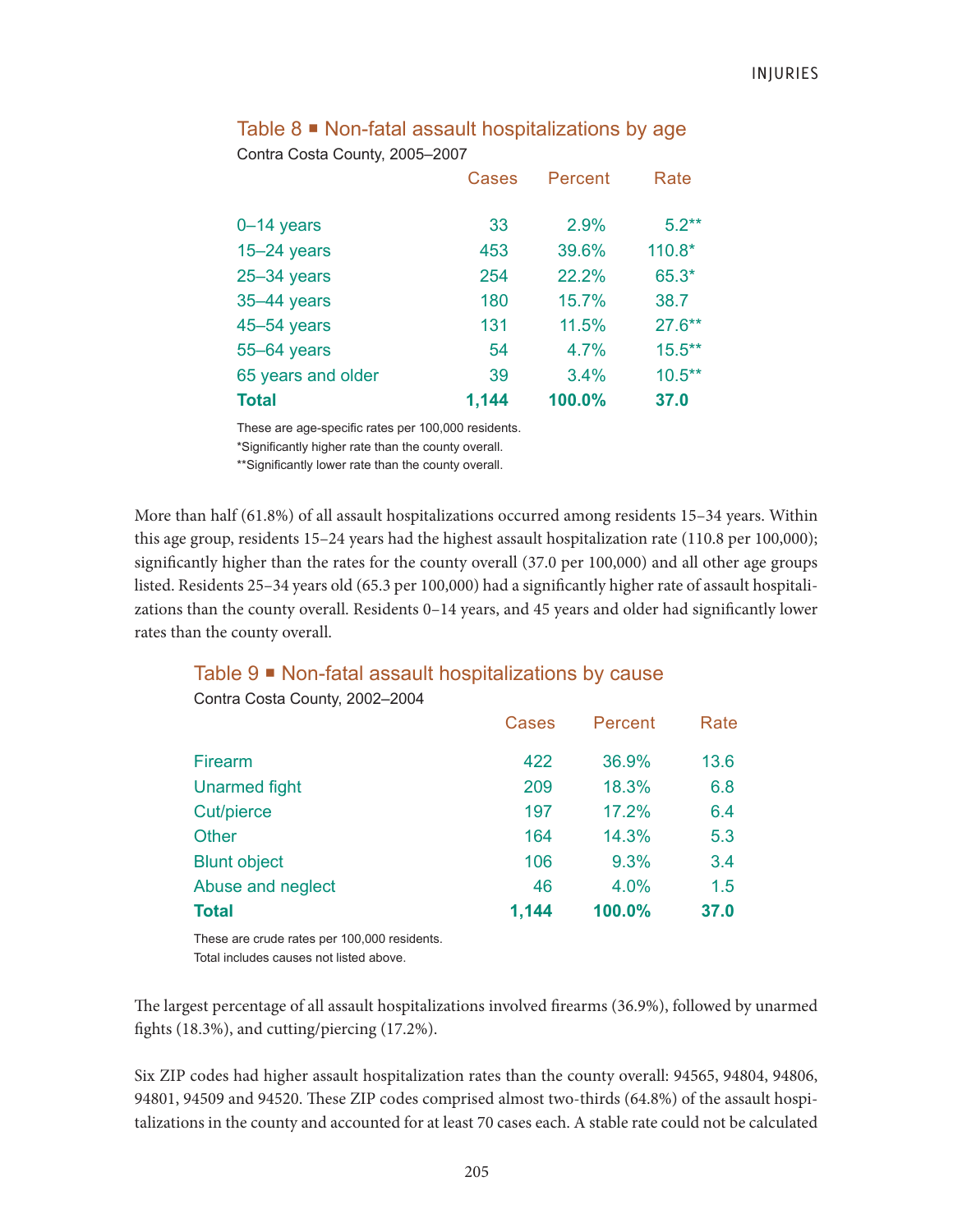|                    | <b>Cases</b> | Percent | Rate      |
|--------------------|--------------|---------|-----------|
| $0 - 14$ years     | 33           | 2.9%    | $5.2**$   |
| $15 - 24$ years    | 453          | 39.6%   | $110.8*$  |
| $25 - 34$ years    | 254          | 22.2%   | 65.3*     |
| 35-44 years        | 180          | 15.7%   | 38.7      |
| $45 - 54$ years    | 131          | 11.5%   | $27.6***$ |
| 55-64 years        | 54           | 4.7%    | $15.5***$ |
| 65 years and older | 39           | 3.4%    | $10.5***$ |
| <b>Total</b>       | 1,144        | 100.0%  | 37.0      |

### Table  $8 \equiv$  Non-fatal assault hospitalizations by age Contra Costa County, 2005–2007

These are age-specific rates per 100,000 residents.

\*Significantly higher rate than the county overall.

\*\*Significantly lower rate than the county overall.

More than half (61.8%) of all assault hospitalizations occurred among residents 15–34 years. Within this age group, residents 15–24 years had the highest assault hospitalization rate (110.8 per 100,000); significantly higher than the rates for the county overall (37.0 per 100,000) and all other age groups listed. Residents 25–34 years old (65.3 per 100,000) had a significantly higher rate of assault hospitalizations than the county overall. Residents 0–14 years, and 45 years and older had significantly lower rates than the county overall.

# Table 9 Non-fatal assault hospitalizations by cause

|                      | Cases | Percent | Rate |
|----------------------|-------|---------|------|
| <b>Firearm</b>       | 422   | 36.9%   | 13.6 |
| <b>Unarmed fight</b> | 209   | 18.3%   | 6.8  |
| Cut/pierce           | 197   | 17.2%   | 6.4  |
| <b>Other</b>         | 164   | 14.3%   | 5.3  |
| <b>Blunt object</b>  | 106   | 9.3%    | 3.4  |
| Abuse and neglect    | 46    | 4.0%    | 1.5  |
| Total                | 1,144 | 100.0%  | 37.0 |

Contra Costa County, 2002–2004

These are crude rates per 100,000 residents. Total includes causes not listed above.

The largest percentage of all assault hospitalizations involved firearms (36.9%), followed by unarmed fights (18.3%), and cutting/piercing (17.2%).

Six ZIP codes had higher assault hospitalization rates than the county overall: 94565, 94804, 94806, 94801, 94509 and 94520. These ZIP codes comprised almost two-thirds (64.8%) of the assault hospitalizations in the county and accounted for at least 70 cases each. A stable rate could not be calculated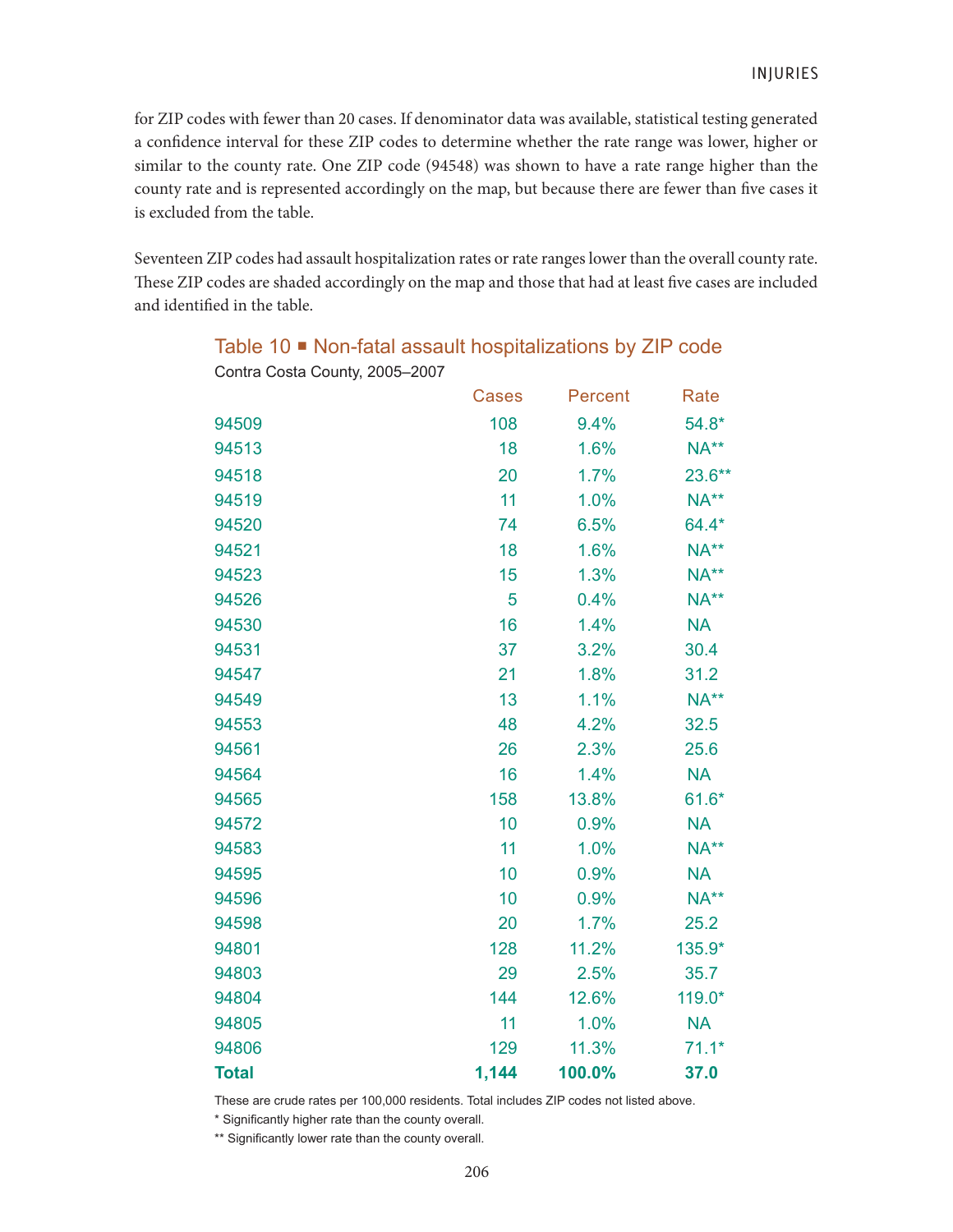for ZIP codes with fewer than 20 cases. If denominator data was available, statistical testing generated a confidence interval for these ZIP codes to determine whether the rate range was lower, higher or similar to the county rate. One ZIP code (94548) was shown to have a rate range higher than the county rate and is represented accordingly on the map, but because there are fewer than five cases it is excluded from the table.

Seventeen ZIP codes had assault hospitalization rates or rate ranges lower than the overall county rate. These ZIP codes are shaded accordingly on the map and those that had at least five cases are included and identified in the table.

| Conina Costa County, 2009–2007 |              |         |           |
|--------------------------------|--------------|---------|-----------|
|                                | <b>Cases</b> | Percent | Rate      |
| 94509                          | 108          | 9.4%    | $54.8*$   |
| 94513                          | 18           | 1.6%    | $NA**$    |
| 94518                          | 20           | 1.7%    | $23.6**$  |
| 94519                          | 11           | 1.0%    | $NA**$    |
| 94520                          | 74           | 6.5%    | 64.4*     |
| 94521                          | 18           | 1.6%    | $NA**$    |
| 94523                          | 15           | 1.3%    | NA**      |
| 94526                          | 5            | 0.4%    | NA**      |
| 94530                          | 16           | 1.4%    | <b>NA</b> |
| 94531                          | 37           | 3.2%    | 30.4      |
| 94547                          | 21           | 1.8%    | 31.2      |
| 94549                          | 13           | 1.1%    | $NA**$    |
| 94553                          | 48           | 4.2%    | 32.5      |
| 94561                          | 26           | 2.3%    | 25.6      |
| 94564                          | 16           | 1.4%    | <b>NA</b> |
| 94565                          | 158          | 13.8%   | $61.6*$   |
| 94572                          | 10           | 0.9%    | <b>NA</b> |
| 94583                          | 11           | 1.0%    | NA**      |
| 94595                          | 10           | 0.9%    | <b>NA</b> |
| 94596                          | 10           | 0.9%    | NA**      |
| 94598                          | 20           | 1.7%    | 25.2      |
| 94801                          | 128          | 11.2%   | 135.9*    |
| 94803                          | 29           | 2.5%    | 35.7      |
| 94804                          | 144          | 12.6%   | 119.0*    |
| 94805                          | 11           | 1.0%    | <b>NA</b> |
| 94806                          | 129          | 11.3%   | $71.1*$   |
| <b>Total</b>                   | 1,144        | 100.0%  | 37.0      |

Table 10 ■ Non-fatal assault hospitalizations by ZIP code Contra Costa County, 2005–2007

These are crude rates per 100,000 residents. Total includes ZIP codes not listed above.

\* Significantly higher rate than the county overall.

\*\* Significantly lower rate than the county overall.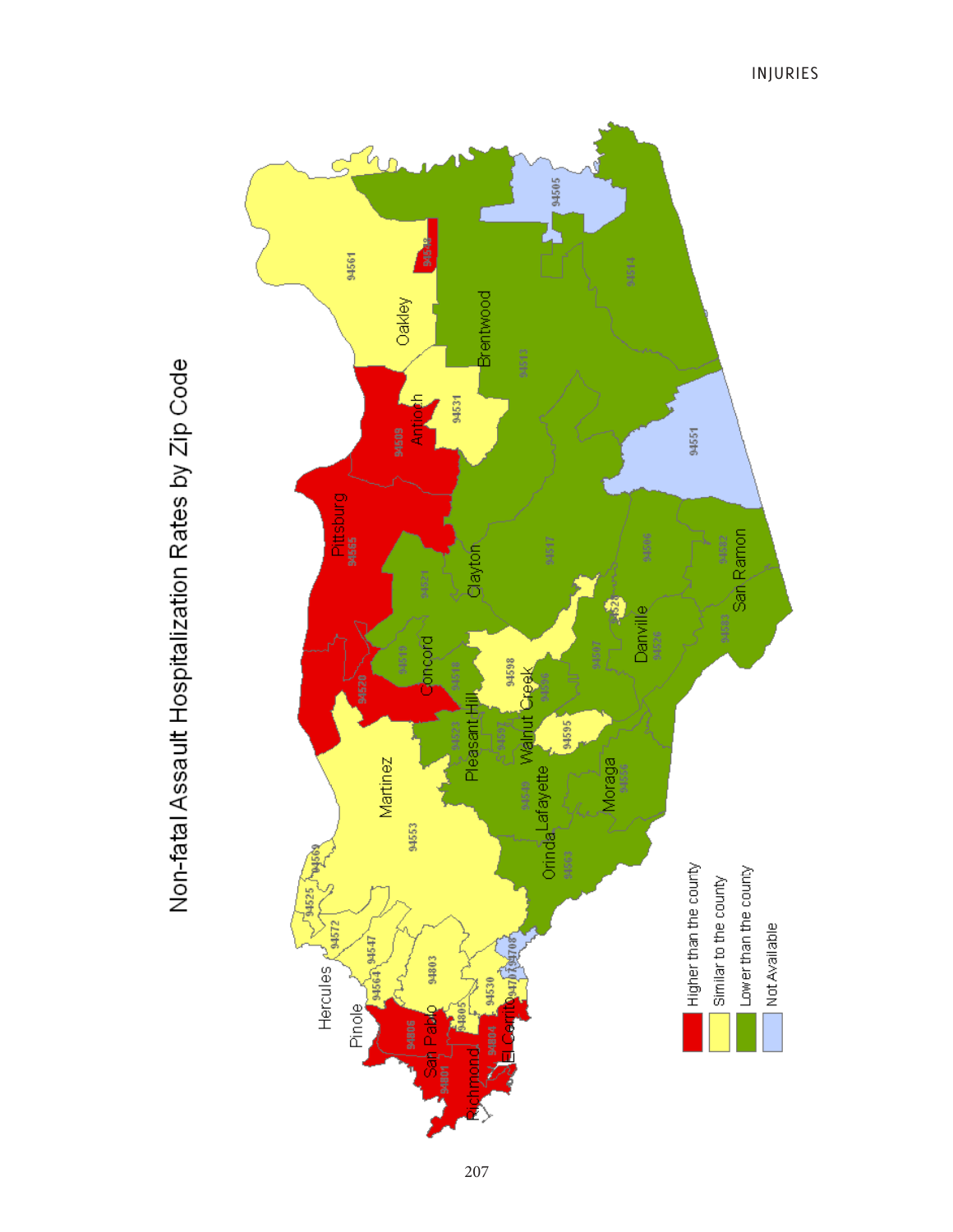

# Non-fatal Assault Hospitalization Rates by Zip Code

207

INJURIES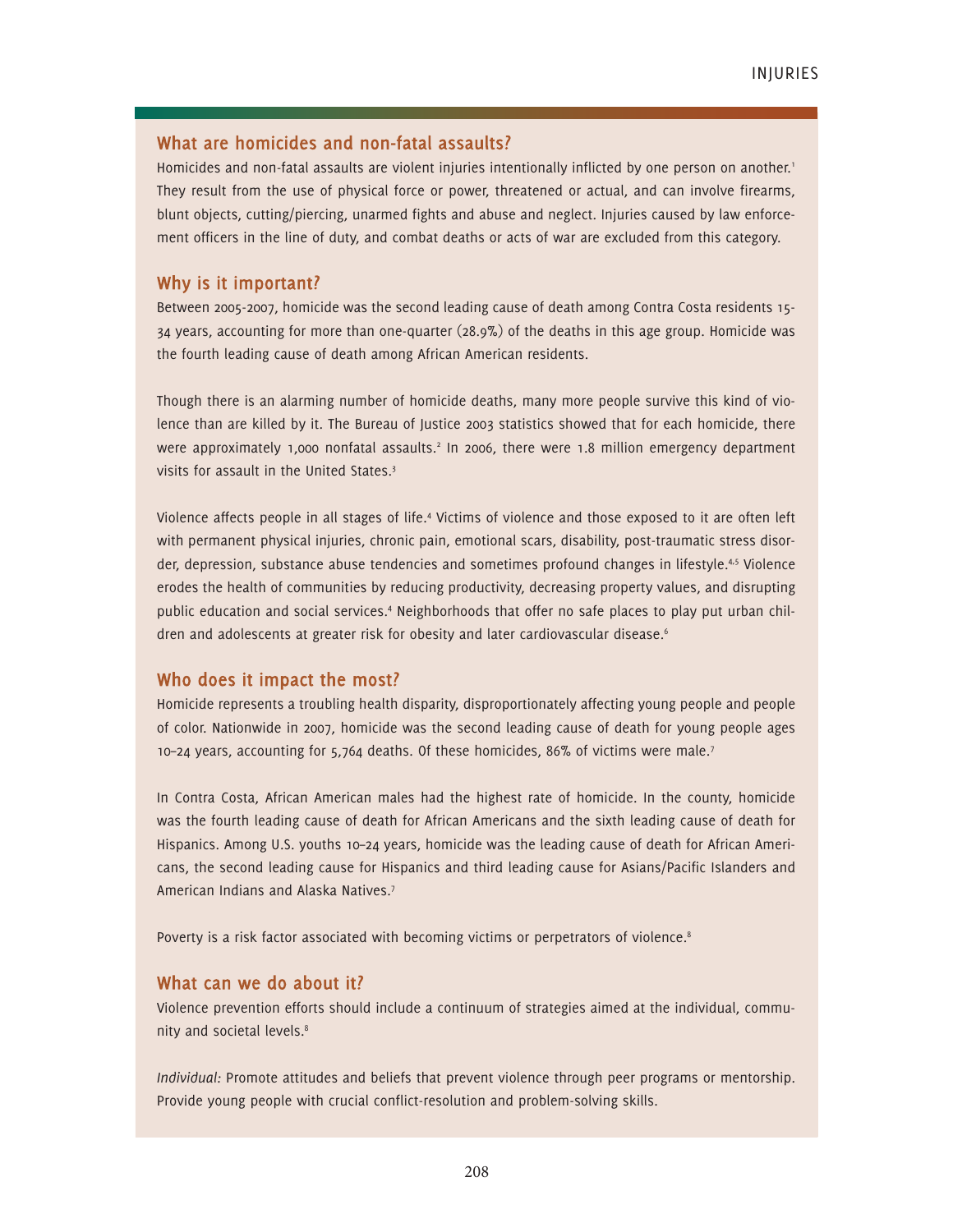### **What are homicides and non-fatal assaults?**

Homicides and non-fatal assaults are violent injuries intentionally inflicted by one person on another.<sup>1</sup> They result from the use of physical force or power, threatened or actual, and can involve firearms, blunt objects, cutting/piercing, unarmed fights and abuse and neglect. Injuries caused by law enforcement officers in the line of duty, and combat deaths or acts of war are excluded from this category.

### **Why is it important?**

Between 2005-2007, homicide was the second leading cause of death among Contra Costa residents 15- 34 years, accounting for more than one-quarter (28.9%) of the deaths in this age group. Homicide was the fourth leading cause of death among African American residents.

Though there is an alarming number of homicide deaths, many more people survive this kind of violence than are killed by it. The Bureau of Justice 2003 statistics showed that for each homicide, there were approximately 1,000 nonfatal assaults.<sup>2</sup> In 2006, there were 1.8 million emergency department visits for assault in the United States.<sup>3</sup>

Violence affects people in all stages of life.<sup>4</sup> Victims of violence and those exposed to it are often left with permanent physical injuries, chronic pain, emotional scars, disability, post-traumatic stress disorder, depression, substance abuse tendencies and sometimes profound changes in lifestyle.<sup>4,5</sup> Violence erodes the health of communities by reducing productivity, decreasing property values, and disrupting public education and social services.<sup>4</sup> Neighborhoods that offer no safe places to play put urban children and adolescents at greater risk for obesity and later cardiovascular disease.<sup>6</sup>

### **Who does it impact the most?**

Homicide represents a troubling health disparity, disproportionately affecting young people and people of color. Nationwide in 2007, homicide was the second leading cause of death for young people ages 10–24 years, accounting for 5,764 deaths. Of these homicides, 86% of victims were male.<sup>7</sup>

In Contra Costa, African American males had the highest rate of homicide. In the county, homicide was the fourth leading cause of death for African Americans and the sixth leading cause of death for Hispanics. Among U.S. youths 10–24 years, homicide was the leading cause of death for African Americans, the second leading cause for Hispanics and third leading cause for Asians/Pacific Islanders and American Indians and Alaska Natives.<sup>7</sup>

Poverty is a risk factor associated with becoming victims or perpetrators of violence.<sup>8</sup>

### **What can we do about it?**

Violence prevention efforts should include a continuum of strategies aimed at the individual, community and societal levels.<sup>8</sup>

*Individual:* Promote attitudes and beliefs that prevent violence through peer programs or mentorship. Provide young people with crucial conflict-resolution and problem-solving skills.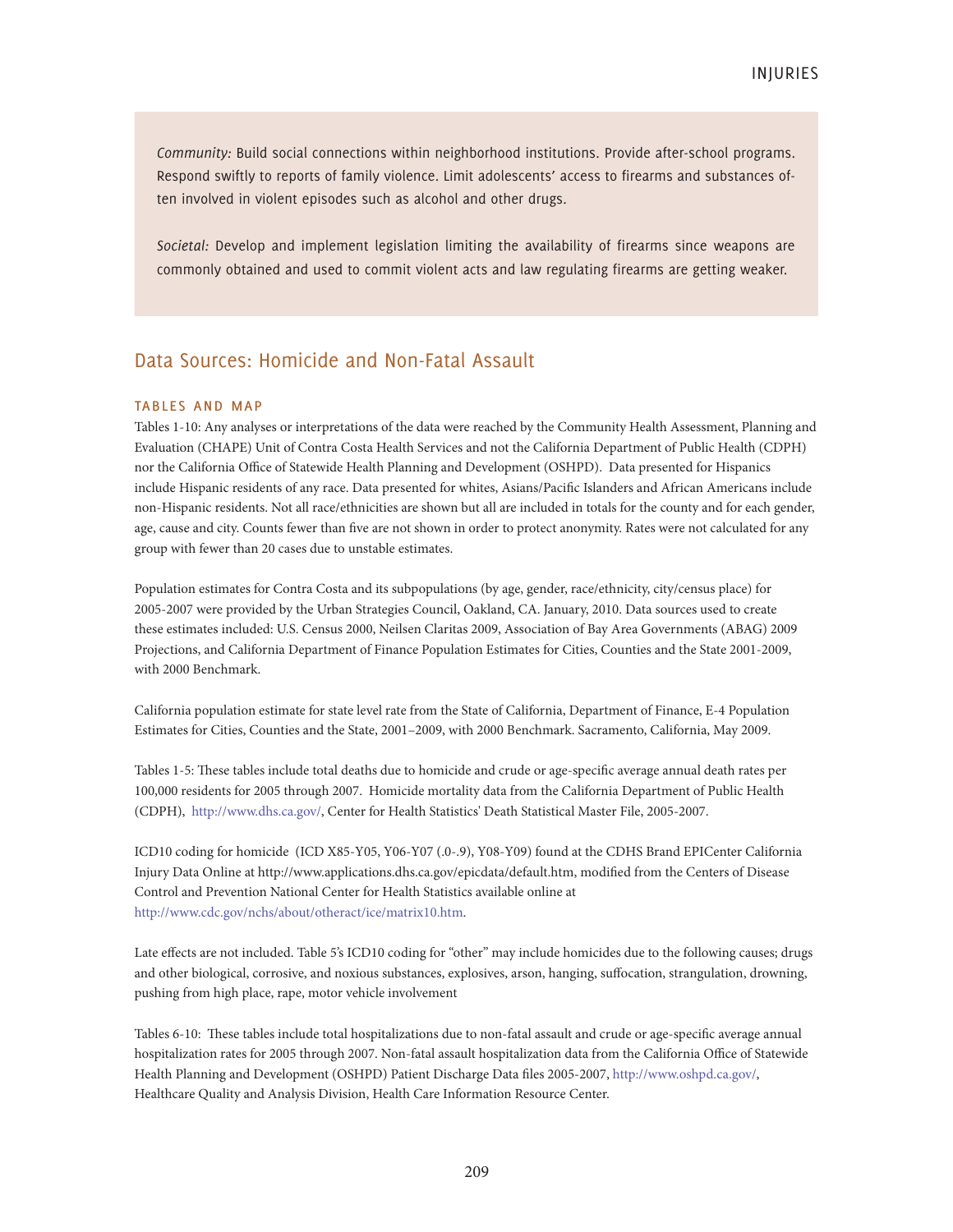*Community:* Build social connections within neighborhood institutions. Provide after-school programs. Respond swiftly to reports of family violence. Limit adolescents' access to firearms and substances often involved in violent episodes such as alcohol and other drugs.

*Societal:* Develop and implement legislation limiting the availability of firearms since weapons are commonly obtained and used to commit violent acts and law regulating firearms are getting weaker.

### Data Sources: Homicide and Non-Fatal Assault

### tables and map

Tables 1-10: Any analyses or interpretations of the data were reached by the Community Health Assessment, Planning and Evaluation (CHAPE) Unit of Contra Costa Health Services and not the California Department of Public Health (CDPH) nor the California Office of Statewide Health Planning and Development (OSHPD). Data presented for Hispanics include Hispanic residents of any race. Data presented for whites, Asians/Pacific Islanders and African Americans include non-Hispanic residents. Not all race/ethnicities are shown but all are included in totals for the county and for each gender, age, cause and city. Counts fewer than five are not shown in order to protect anonymity. Rates were not calculated for any group with fewer than 20 cases due to unstable estimates.

Population estimates for Contra Costa and its subpopulations (by age, gender, race/ethnicity, city/census place) for 2005-2007 were provided by the Urban Strategies Council, Oakland, CA. January, 2010. Data sources used to create these estimates included: U.S. Census 2000, Neilsen Claritas 2009, Association of Bay Area Governments (ABAG) 2009 Projections, and California Department of Finance Population Estimates for Cities, Counties and the State 2001-2009, with 2000 Benchmark.

California population estimate for state level rate from the State of California, Department of Finance, E-4 Population Estimates for Cities, Counties and the State, 2001–2009, with 2000 Benchmark. Sacramento, California, May 2009.

Tables 1-5: These tables include total deaths due to homicide and crude or age-specific average annual death rates per 100,000 residents for 2005 through 2007. Homicide mortality data from the California Department of Public Health (CDPH), http://www.dhs.ca.gov/, Center for Health Statistics' Death Statistical Master File, 2005-2007.

ICD10 coding for homicide (ICD X85-Y05, Y06-Y07 (.0-.9), Y08-Y09) found at the CDHS Brand EPICenter California Injury Data Online at http://www.applications.dhs.ca.gov/epicdata/default.htm, modified from the Centers of Disease Control and Prevention National Center for Health Statistics available online at http://www.cdc.gov/nchs/about/otheract/ice/matrix10.htm.

Late effects are not included. Table 5's ICD10 coding for "other" may include homicides due to the following causes; drugs and other biological, corrosive, and noxious substances, explosives, arson, hanging, suffocation, strangulation, drowning, pushing from high place, rape, motor vehicle involvement

Tables 6-10: These tables include total hospitalizations due to non-fatal assault and crude or age-specific average annual hospitalization rates for 2005 through 2007. Non-fatal assault hospitalization data from the California Office of Statewide Health Planning and Development (OSHPD) Patient Discharge Data files 2005-2007, http://www.oshpd.ca.gov/, Healthcare Quality and Analysis Division, Health Care Information Resource Center.